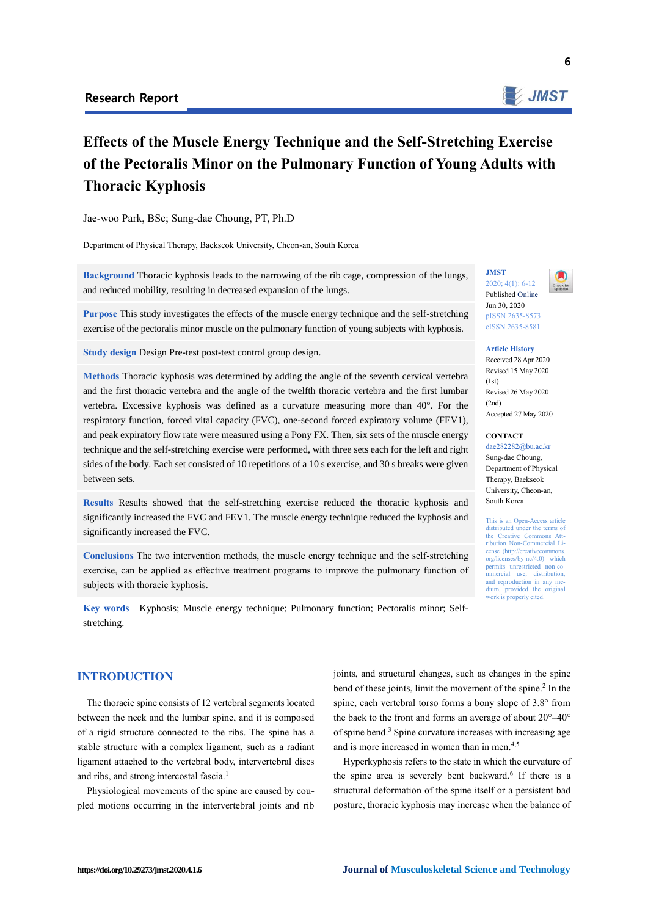

# **Effects of the Muscle Energy Technique and the Self-Stretching Exercise of the Pectoralis Minor on the Pulmonary Function of Young Adults with Thoracic Kyphosis**

Jae-woo Park, BSc; Sung-dae Choung, PT, Ph.D

Department of Physical Therapy, Baekseok University, Cheon-an, South Korea

**Background** Thoracic kyphosis leads to the narrowing of the rib cage, compression of the lungs, and reduced mobility, resulting in decreased expansion of the lungs.

**Purpose** This study investigates the effects of the muscle energy technique and the self-stretching exercise of the pectoralis minor muscle on the pulmonary function of young subjects with kyphosis.

**Study design** Design Pre-test post-test control group design.

**Methods** Thoracic kyphosis was determined by adding the angle of the seventh cervical vertebra and the first thoracic vertebra and the angle of the twelfth thoracic vertebra and the first lumbar vertebra. Excessive kyphosis was defined as a curvature measuring more than 40°. For the respiratory function, forced vital capacity (FVC), one-second forced expiratory volume (FEV1), and peak expiratory flow rate were measured using a Pony FX. Then, six sets of the muscle energy technique and the self-stretching exercise were performed, with three sets each for the left and right sides of the body. Each set consisted of 10 repetitions of a 10 s exercise, and 30 s breaks were given between sets.

**Results** Results showed that the self-stretching exercise reduced the thoracic kyphosis and significantly increased the FVC and FEV1. The muscle energy technique reduced the kyphosis and significantly increased the FVC.

**Conclusions** The two intervention methods, the muscle energy technique and the self-stretching exercise, can be applied as effective treatment programs to improve the pulmonary function of subjects with thoracic kyphosis.

**Key words** Kyphosis; Muscle energy technique; Pulmonary function; Pectoralis minor; Selfstretching.

## **INTRODUCTION**

The thoracic spine consists of 12 vertebral segments located between the neck and the lumbar spine, and it is composed of a rigid structure connected to the ribs. The spine has a stable structure with a complex ligament, such as a radiant ligament attached to the vertebral body, intervertebral discs and ribs, and strong intercostal fascia.<sup>1</sup>

Physiological movements of the spine are caused by coupled motions occurring in the intervertebral joints and rib joints, and structural changes, such as changes in the spine bend of these joints, limit the movement of the spine.<sup>2</sup> In the spine, each vertebral torso forms a bony slope of 3.8° from the back to the front and forms an average of about 20°–40° of spine bend.<sup>3</sup> Spine curvature increases with increasing age and is more increased in women than in men.<sup>4,5</sup>

Hyperkyphosis refers to the state in which the curvature of the spine area is severely bent backward.<sup>6</sup> If there is a structural deformation of the spine itself or a persistent bad posture, thoracic kyphosis may increase when the balance of

**JMST** 2020; 4(1): 6-12

Published Online Jun 30, 2020 pISSN 2635-8573 eISSN 2635-8581

**Article History** Received 28 Apr 2020 Revised 15 May 2020  $(1st)$ Revised 26 May 2020  $(2nd)$ Accepted 27 May 2020

#### **CONTACT**

dae282282@bu.ac.kr Sung-dae Choung, Department of Physical Therapy, Baekseok University, Cheon-an, South Korea

This is an Open-Access article distributed under the terms of the Creative Commons Att-ribution Non-Commercial License (http://creativecommon org/licenses/by-nc/4.0) which permits unrestricted non-co-<br>mmercial use, distribution, use, distribution, and reproduction in any medium, provided the original work is properly cited.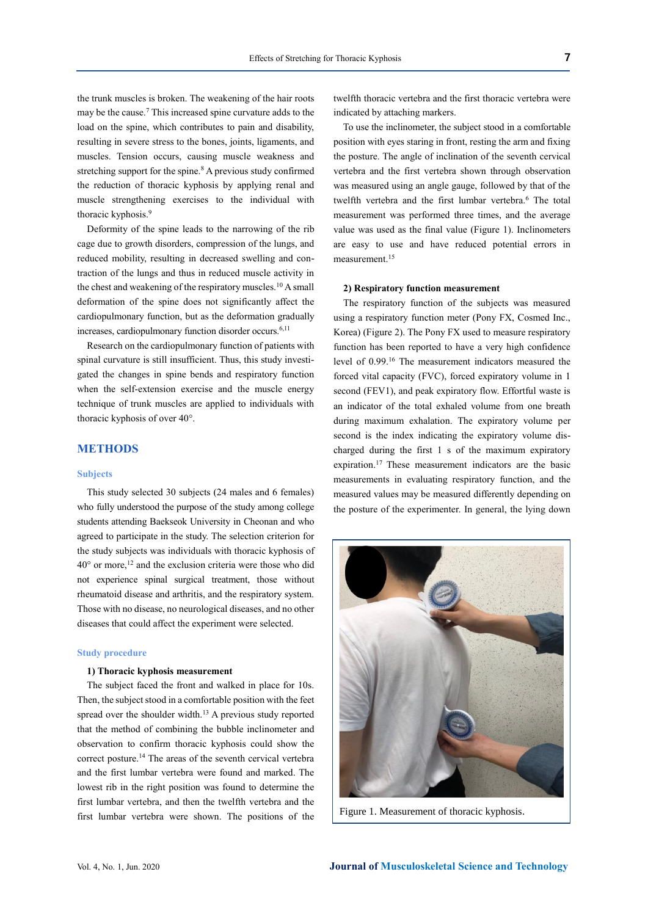the trunk muscles is broken. The weakening of the hair roots may be the cause.<sup>7</sup> This increased spine curvature adds to the load on the spine, which contributes to pain and disability, resulting in severe stress to the bones, joints, ligaments, and muscles. Tension occurs, causing muscle weakness and stretching support for the spine.<sup>8</sup> A previous study confirmed the reduction of thoracic kyphosis by applying renal and muscle strengthening exercises to the individual with thoracic kyphosis.<sup>9</sup>

Deformity of the spine leads to the narrowing of the rib cage due to growth disorders, compression of the lungs, and reduced mobility, resulting in decreased swelling and contraction of the lungs and thus in reduced muscle activity in the chest and weakening of the respiratory muscles.<sup>10</sup> A small deformation of the spine does not significantly affect the cardiopulmonary function, but as the deformation gradually increases, cardiopulmonary function disorder occurs.6,11

Research on the cardiopulmonary function of patients with spinal curvature is still insufficient. Thus, this study investigated the changes in spine bends and respiratory function when the self-extension exercise and the muscle energy technique of trunk muscles are applied to individuals with thoracic kyphosis of over 40°.

## **METHODS**

#### **Subjects**

This study selected 30 subjects (24 males and 6 females) who fully understood the purpose of the study among college students attending Baekseok University in Cheonan and who agreed to participate in the study. The selection criterion for the study subjects was individuals with thoracic kyphosis of  $40^{\circ}$  or more,<sup>12</sup> and the exclusion criteria were those who did not experience spinal surgical treatment, those without rheumatoid disease and arthritis, and the respiratory system. Those with no disease, no neurological diseases, and no other diseases that could affect the experiment were selected.

#### **Study procedure**

#### **1) Thoracic kyphosis measurement**

The subject faced the front and walked in place for 10s. Then, the subject stood in a comfortable position with the feet spread over the shoulder width.<sup>13</sup> A previous study reported that the method of combining the bubble inclinometer and observation to confirm thoracic kyphosis could show the correct posture.<sup>14</sup> The areas of the seventh cervical vertebra and the first lumbar vertebra were found and marked. The lowest rib in the right position was found to determine the first lumbar vertebra, and then the twelfth vertebra and the first lumbar vertebra were shown. The positions of the twelfth thoracic vertebra and the first thoracic vertebra were indicated by attaching markers.

To use the inclinometer, the subject stood in a comfortable position with eyes staring in front, resting the arm and fixing the posture. The angle of inclination of the seventh cervical vertebra and the first vertebra shown through observation was measured using an angle gauge, followed by that of the twelfth vertebra and the first lumbar vertebra.<sup>6</sup> The total measurement was performed three times, and the average value was used as the final value (Figure 1). Inclinometers are easy to use and have reduced potential errors in measurement.<sup>15</sup>

#### **2) Respiratory function measurement**

The respiratory function of the subjects was measured using a respiratory function meter (Pony FX, Cosmed Inc., Korea) (Figure 2). The Pony FX used to measure respiratory function has been reported to have a very high confidence level of 0.99.<sup>16</sup> The measurement indicators measured the forced vital capacity (FVC), forced expiratory volume in 1 second (FEV1), and peak expiratory flow. Effortful waste is an indicator of the total exhaled volume from one breath during maximum exhalation. The expiratory volume per second is the index indicating the expiratory volume discharged during the first 1 s of the maximum expiratory expiration.<sup>17</sup> These measurement indicators are the basic measurements in evaluating respiratory function, and the measured values may be measured differently depending on the posture of the experimenter. In general, the lying down



Figure 1. Measurement of thoracic kyphosis.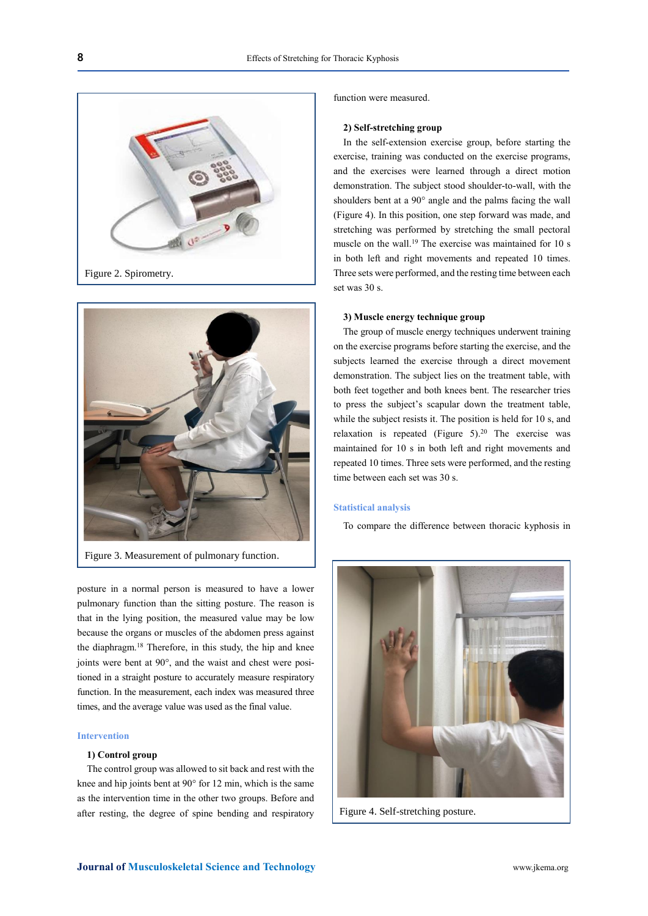



Figure 3. Measurement of pulmonary function.

posture in a normal person is measured to have a lower pulmonary function than the sitting posture. The reason is that in the lying position, the measured value may be low because the organs or muscles of the abdomen press against the diaphragm.<sup>18</sup> Therefore, in this study, the hip and knee joints were bent at 90°, and the waist and chest were positioned in a straight posture to accurately measure respiratory function. In the measurement, each index was measured three times, and the average value was used as the final value.

## **Intervention**

## **1) Control group**

The control group was allowed to sit back and rest with the knee and hip joints bent at 90° for 12 min, which is the same as the intervention time in the other two groups. Before and after resting, the degree of spine bending and respiratory function were measured.

#### **2) Self-stretching group**

In the self-extension exercise group, before starting the exercise, training was conducted on the exercise programs, and the exercises were learned through a direct motion demonstration. The subject stood shoulder-to-wall, with the shoulders bent at a 90° angle and the palms facing the wall (Figure 4). In this position, one step forward was made, and stretching was performed by stretching the small pectoral muscle on the wall.<sup>19</sup> The exercise was maintained for 10 s in both left and right movements and repeated 10 times. Three sets were performed, and the resting time between each set was 30 s.

## **3) Muscle energy technique group**

The group of muscle energy techniques underwent training on the exercise programs before starting the exercise, and the subjects learned the exercise through a direct movement demonstration. The subject lies on the treatment table, with both feet together and both knees bent. The researcher tries to press the subject's scapular down the treatment table, while the subject resists it. The position is held for 10 s, and relaxation is repeated (Figure  $5$ ).<sup>20</sup> The exercise was maintained for 10 s in both left and right movements and repeated 10 times. Three sets were performed, and the resting time between each set was 30 s.

#### **Statistical analysis**

To compare the difference between thoracic kyphosis in



Figure 4. Self-stretching posture.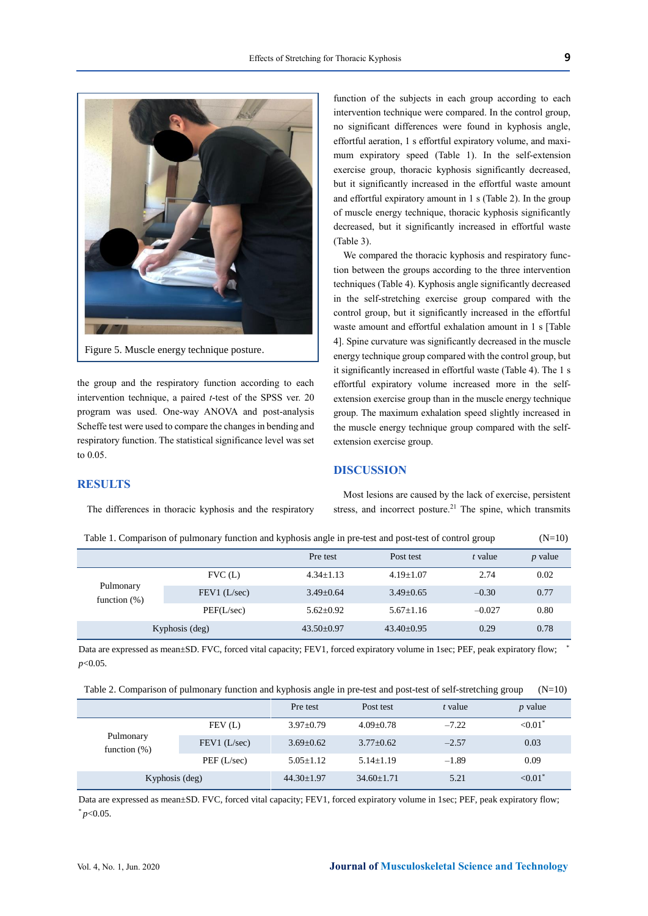

the group and the respiratory function according to each intervention technique, a paired *t*-test of the SPSS ver. 20 program was used. One-way ANOVA and post-analysis Scheffe test were used to compare the changes in bending and respiratory function. The statistical significance level was set

function of the subjects in each group according to each intervention technique were compared. In the control group, no significant differences were found in kyphosis angle, effortful aeration, 1 s effortful expiratory volume, and maximum expiratory speed (Table 1). In the self-extension exercise group, thoracic kyphosis significantly decreased, but it significantly increased in the effortful waste amount and effortful expiratory amount in 1 s (Table 2). In the group of muscle energy technique, thoracic kyphosis significantly decreased, but it significantly increased in effortful waste (Table 3).

We compared the thoracic kyphosis and respiratory function between the groups according to the three intervention techniques (Table 4). Kyphosis angle significantly decreased in the self-stretching exercise group compared with the control group, but it significantly increased in the effortful waste amount and effortful exhalation amount in 1 s [Table 4]. Spine curvature was significantly decreased in the muscle energy technique group compared with the control group, but it significantly increased in effortful waste (Table 4). The 1 s effortful expiratory volume increased more in the selfextension exercise group than in the muscle energy technique group. The maximum exhalation speed slightly increased in the muscle energy technique group compared with the selfextension exercise group.

## **DISCUSSION**

## **RESULTS**

to 0.05.

The differences in thoracic kyphosis and the respiratory

Most lesions are caused by the lack of exercise, persistent stress, and incorrect posture.<sup>21</sup> The spine, which transmits

| Table 1. Comparison of pumfonary function and Kyphosis angle in pre-lest and post-lest of control group |              |                  |                  |          | $(11 - 10)$ |
|---------------------------------------------------------------------------------------------------------|--------------|------------------|------------------|----------|-------------|
|                                                                                                         |              | Pre test         | Post test        | t value  | $p$ value   |
|                                                                                                         | FVC(L)       | $4.34 + 1.13$    | $4.19 \pm 1.07$  | 2.74     | 0.02        |
| Pulmonary<br>function $(\%)$                                                                            | FEV1 (L/sec) | $3.49 + 0.64$    | $3.49 \pm 0.65$  | $-0.30$  | 0.77        |
|                                                                                                         | PEF(L/sec)   | $5.62+0.92$      | $5.67 \pm 1.16$  | $-0.027$ | 0.80        |
| Kyphosis (deg)                                                                                          |              | $43.50 \pm 0.97$ | $43.40 \pm 0.95$ | 0.29     | 0.78        |

Table 1. Comparison of pulmonary function and kyphosis angle in pre-test and post-test of control group (N=10)

Data are expressed as mean±SD. FVC, forced vital capacity; FEV1, forced expiratory volume in 1sec; PEF, peak expiratory flow; *p*<0.05.

|  |  |  |  |  |  | Table 2. Comparison of pulmonary function and kyphosis angle in pre-test and post-test of self-stretching group (N=10) |
|--|--|--|--|--|--|------------------------------------------------------------------------------------------------------------------------|
|--|--|--|--|--|--|------------------------------------------------------------------------------------------------------------------------|

|                              |              | Pre test         | Post test      | t value | $p$ value  |
|------------------------------|--------------|------------------|----------------|---------|------------|
|                              | FEV(L)       | $3.97 \pm 0.79$  | $4.09+0.78$    | $-7.22$ | ${<}0.01*$ |
| Pulmonary<br>function $(\%)$ | FEV1 (L/sec) | $3.69 + 0.62$    | $3.77+0.62$    | $-2.57$ | 0.03       |
|                              | PEF(L/sec)   | $5.05 + 1.12$    | $5.14 + 1.19$  | $-1.89$ | 0.09       |
| Kyphosis (deg)               |              | $44.30 \pm 1.97$ | $34.60 + 1.71$ | 5.21    | ${<}0.01*$ |

Data are expressed as mean±SD. FVC, forced vital capacity; FEV1, forced expiratory volume in 1sec; PEF, peak expiratory flow;  $*_{p<0.05}$ .

\*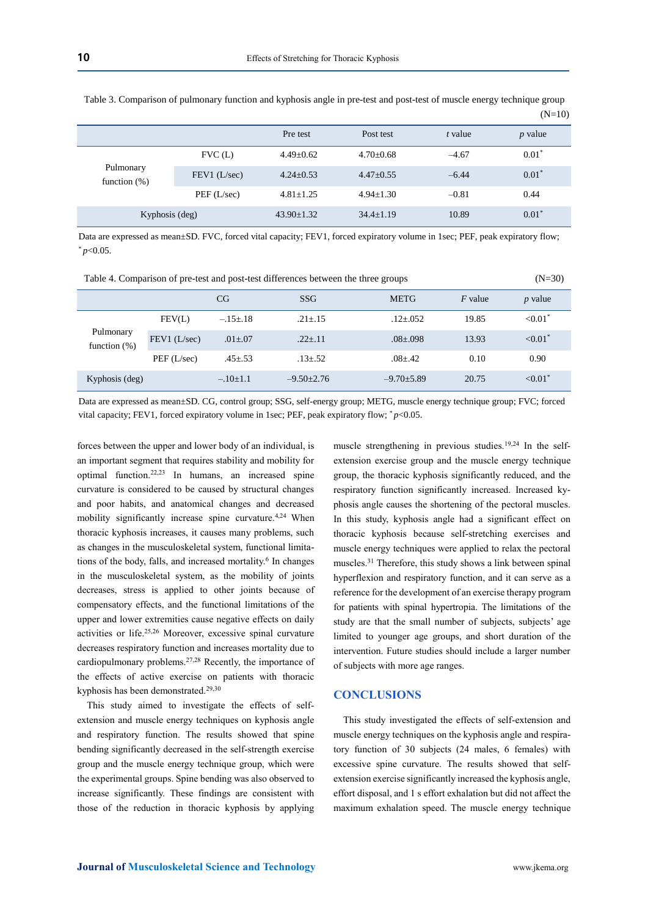|                              |              | Pre test       | Post test     | t value | $p$ value |
|------------------------------|--------------|----------------|---------------|---------|-----------|
| Pulmonary<br>function $(\%)$ | FVC(L)       | $4.49+0.62$    | $4.70+0.68$   | $-4.67$ | $0.01*$   |
|                              | FEV1 (L/sec) | $4.24 + 0.53$  | $4.47+0.55$   | $-6.44$ | $0.01*$   |
|                              | PEF(L/sec)   | $4.81 + 1.25$  | $4.94 + 1.30$ | $-0.81$ | 0.44      |
| Kyphosis (deg)               |              | $43.90 + 1.32$ | $34.4+1.19$   | 10.89   | $0.01^*$  |

Table 3. Comparison of pulmonary function and kyphosis angle in pre-test and post-test of muscle energy technique group  $(N=10)$ 

Data are expressed as mean±SD. FVC, forced vital capacity; FEV1, forced expiratory volume in 1sec; PEF, peak expiratory flow;  $*_{p<0.05}$ .

| Table 4. Comparison of pre-test and post-test differences between the three groups | $(N=30)$ |
|------------------------------------------------------------------------------------|----------|
|------------------------------------------------------------------------------------|----------|

|                               |              | CG             | <b>SSG</b>       | <b>METG</b>      | $F$ value | $p$ value  |
|-------------------------------|--------------|----------------|------------------|------------------|-----------|------------|
|                               | FEV(L)       | $-.15 \pm .18$ | $.21 \pm .15$    | $.12 \pm .052$   | 19.85     | ${<}0.01*$ |
| Pulmonary<br>function $(\% )$ | FEV1 (L/sec) | $.01{\pm}.07$  | $.22 \pm .11$    | $.08 \pm .098$   | 13.93     | ${<}0.01*$ |
|                               | PEF(L/sec)   | $.45 \pm .53$  | $.13{\pm} .52$   | $.08{\pm}.42$    | 0.10      | 0.90       |
| Kyphosis (deg)                |              | $-.10\pm1.1$   | $-9.50 \pm 2.76$ | $-9.70 \pm 5.89$ | 20.75     | ${<}0.01*$ |

Data are expressed as mean±SD. CG, control group; SSG, self-energy group; METG, muscle energy technique group; FVC; forced vital capacity; FEV1, forced expiratory volume in 1sec; PEF, peak expiratory flow; \*p<0.05.

forces between the upper and lower body of an individual, is an important segment that requires stability and mobility for optimal function.22,23 In humans, an increased spine curvature is considered to be caused by structural changes and poor habits, and anatomical changes and decreased mobility significantly increase spine curvature.4,24 When thoracic kyphosis increases, it causes many problems, such as changes in the musculoskeletal system, functional limitations of the body, falls, and increased mortality.<sup>6</sup> In changes in the musculoskeletal system, as the mobility of joints decreases, stress is applied to other joints because of compensatory effects, and the functional limitations of the upper and lower extremities cause negative effects on daily activities or life.25,26 Moreover, excessive spinal curvature decreases respiratory function and increases mortality due to cardiopulmonary problems.27,28 Recently, the importance of the effects of active exercise on patients with thoracic kyphosis has been demonstrated.<sup>29,30</sup>

This study aimed to investigate the effects of selfextension and muscle energy techniques on kyphosis angle and respiratory function. The results showed that spine bending significantly decreased in the self-strength exercise group and the muscle energy technique group, which were the experimental groups. Spine bending was also observed to increase significantly. These findings are consistent with those of the reduction in thoracic kyphosis by applying muscle strengthening in previous studies.<sup>19,24</sup> In the selfextension exercise group and the muscle energy technique group, the thoracic kyphosis significantly reduced, and the respiratory function significantly increased. Increased kyphosis angle causes the shortening of the pectoral muscles. In this study, kyphosis angle had a significant effect on thoracic kyphosis because self-stretching exercises and muscle energy techniques were applied to relax the pectoral muscles.<sup>31</sup> Therefore, this study shows a link between spinal hyperflexion and respiratory function, and it can serve as a reference for the development of an exercise therapy program for patients with spinal hypertropia. The limitations of the study are that the small number of subjects, subjects' age limited to younger age groups, and short duration of the intervention. Future studies should include a larger number of subjects with more age ranges.

## **CONCLUSIONS**

This study investigated the effects of self-extension and muscle energy techniques on the kyphosis angle and respiratory function of 30 subjects (24 males, 6 females) with excessive spine curvature. The results showed that selfextension exercise significantly increased the kyphosis angle, effort disposal, and 1 s effort exhalation but did not affect the maximum exhalation speed. The muscle energy technique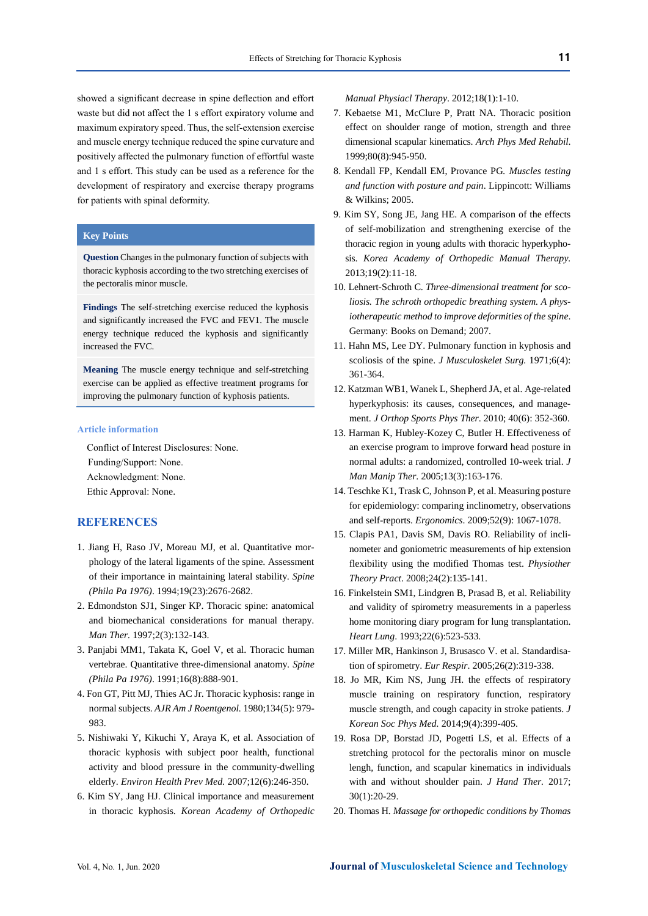showed a significant decrease in spine deflection and effort waste but did not affect the 1 s effort expiratory volume and maximum expiratory speed. Thus, the self-extension exercise and muscle energy technique reduced the spine curvature and positively affected the pulmonary function of effortful waste and 1 s effort. This study can be used as a reference for the development of respiratory and exercise therapy programs for patients with spinal deformity.

## **Key Points**

**Question** Changes in the pulmonary function of subjects with thoracic kyphosis according to the two stretching exercises of the pectoralis minor muscle.

**Findings** The self-stretching exercise reduced the kyphosis and significantly increased the FVC and FEV1. The muscle energy technique reduced the kyphosis and significantly increased the FVC.

**Meaning** The muscle energy technique and self-stretching exercise can be applied as effective treatment programs for improving the pulmonary function of kyphosis patients.

#### **Article information**

Conflict of Interest Disclosures: None.

Funding/Support: None. Acknowledgment: None. Ethic Approval: None.

## **REFERENCES**

- 1. Jiang H, Raso JV, Moreau MJ, et al. Quantitative morphology of the lateral ligaments of the spine. Assessment of their importance in maintaining lateral stability. *Spine (Phila Pa 1976)*. 1994;19(23):2676-2682.
- 2. Edmondston SJ1, Singer KP. Thoracic spine: anatomical and biomechanical considerations for manual therapy. *Man Ther.* 1997;2(3):132-143.
- 3. Panjabi MM1, Takata K, Goel V, et al. Thoracic human vertebrae. Quantitative three-dimensional anatomy. *Spine (Phila Pa 1976)*. 1991;16(8):888-901.
- 4. Fon GT, Pitt MJ, Thies AC Jr. Thoracic kyphosis: range in normal subjects. *AJR Am J Roentgenol.* 1980;134(5): 979- 983.
- 5. Nishiwaki Y, Kikuchi Y, Araya K, et al. Association of thoracic kyphosis with subject poor health, functional activity and blood pressure in the community-dwelling elderly. *Environ Health Prev Med.* 2007;12(6):246-350.
- 6. Kim SY, Jang HJ. Clinical importance and measurement in thoracic kyphosis. *Korean Academy of Orthopedic*

*Manual Physiacl Therapy*. 2012;18(1):1-10.

- 7. Kebaetse M1, McClure P, Pratt NA. Thoracic position effect on shoulder range of motion, strength and three dimensional scapular kinematics. *Arch Phys Med Rehabil*. 1999;80(8):945-950.
- 8. Kendall FP, Kendall EM, Provance PG*. Muscles testing and function with posture and pain*. Lippincott: Williams & Wilkins; 2005.
- 9. Kim SY, Song JE, Jang HE. A comparison of the effects of self-mobilization and strengthening exercise of the thoracic region in young adults with thoracic hyperkyphosis. *Korea Academy of Orthopedic Manual Therapy.* 2013;19(2):11-18.
- 10. Lehnert-Schroth C. *Three-dimensional treatment for scoliosis. The schroth orthopedic breathing system. A physiotherapeutic method to improve deformities of the spine*. Germany: Books on Demand; 2007.
- 11. Hahn MS, Lee DY. Pulmonary function in kyphosis and scoliosis of the spine. *J Musculoskelet Surg.* 1971;6(4): 361-364.
- 12. Katzman WB1, Wanek L, Shepherd JA, et al. Age-related hyperkyphosis: its causes, consequences, and management. *J Orthop Sports Phys Ther*. 2010; 40(6): 352-360.
- 13. Harman K, Hubley-Kozey C, Butler H. Effectiveness of an exercise program to improve forward head posture in normal adults: a randomized, controlled 10-week trial. *J Man Manip Ther*. 2005;13(3):163-176.
- 14. Teschke K1, Trask C, Johnson P, et al. Measuring posture for epidemiology: comparing inclinometry, observations and self-reports. *Ergonomics*. 2009;52(9): 1067-1078.
- 15. Clapis PA1, Davis SM, Davis RO. Reliability of inclinometer and goniometric measurements of hip extension flexibility using the modified Thomas test. *Physiother Theory Pract*. 2008;24(2):135-141.
- 16. Finkelstein SM1, Lindgren B, Prasad B, et al. Reliability and validity of spirometry measurements in a paperless home monitoring diary program for lung transplantation. *Heart Lung*. 1993;22(6):523-533.
- 17. Miller MR, Hankinson J, Brusasco V. et al. Standardisation of spirometry. *Eur Respir*. 2005;26(2):319-338.
- 18. Jo MR, Kim NS, Jung JH. the effects of respiratory muscle training on respiratory function, respiratory muscle strength, and cough capacity in stroke patients. *J Korean Soc Phys Med.* 2014;9(4):399-405.
- 19. Rosa DP, Borstad JD, Pogetti LS, et al. Effects of a stretching protocol for the pectoralis minor on muscle lengh, function, and scapular kinematics in individuals with and without shoulder pain. *J Hand Ther.* 2017; 30(1):20-29.
- 20. Thomas H. *Massage for orthopedic conditions by Thomas*